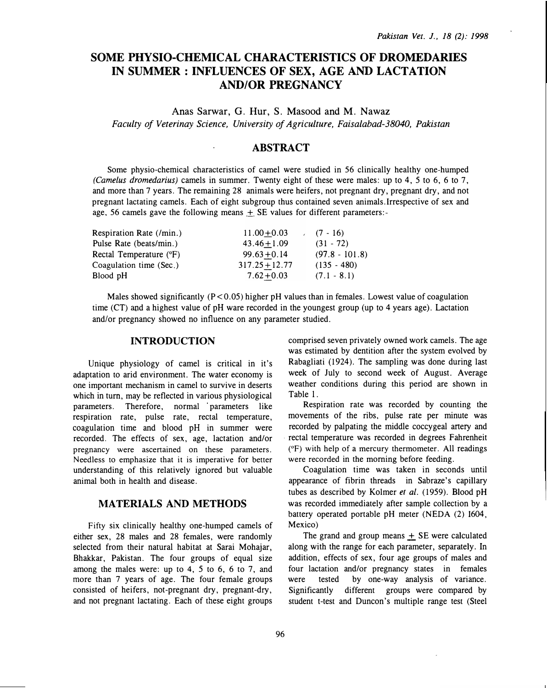# SOME PHYSIO-CHEMICAL CHARACTERISTICS OF DROMEDARIES IN SUMMER: INFLUENCES OF SEX, AGE AND LACTATION AND/OR PREGNANCY

Anas Sarwar, G. Hur, S. Masood and M. Nawaz Faculty of Veterinay Science, University of Agriculture, Faisalabad-38040, Pakistan

## ABSTRACT

Some physio-chemical characteristics of camel were studied in 56 clinically healthy one-humped (Camelus dromedarius) camels in summer. Twenty eight of these were males: up to 4, 5 to 6, 6 to 7, and more than 7 years. The remaining 28 animals were heifers, not pregnant dry, pregnant dry, and not pregnant lactating camels. Each of eight subgroup thus contained seven animals.Irrespective of sex and age, 56 camels gave the following means  $\pm$  SE values for different parameters:-

| $11.00 + 0.03$   | $(7 - 16)$       |
|------------------|------------------|
| $43.46 + 1.09$   | $(31 - 72)$      |
| $99.63 + 0.14$   | $(97.8 - 101.8)$ |
| $317.25 + 12.77$ | $(135 - 480)$    |
| $7.62 + 0.03$    | $(7.1 - 8.1)$    |
|                  |                  |

Males showed significantly  $(P < 0.05)$  higher pH values than in females. Lowest value of coagulation time (CT) and a highest value of pH ware recorded in the youngest group (up to 4 years age). Lactation and/or pregnancy showed no influence on any parameter studied.

#### INTRODUCTION

Unique physiology of camel is critical in it's adaptation to arid environment. The water economy is one important mechanism in camel to survive in deserts which in tum, may be reflected in various physiological parameters. Therefore, normal parameters like respiration rate, pulse rate, rectal temperature, coagulation time and blood pH in summer were recorded. The effects of sex, age, lactation and/or pregnancy were ascertained on these parameters. Needless to emphasize that it is imperative for better understanding of this relatively ignored but valuable animal both in health and disease.

### MATERIALS AND METHODS

Fifty six clinically healthy one-humped camels of either sex, 28 males and 28 females, were randomly selected from their natural habitat at Sarai Mohajar, Bhakkar, Pakistan. The four groups of equal size among the males were: up to 4, 5 to 6, 6 to 7, and more than 7 years of age. The four female groups consisted of heifers, not-pregnant dry, pregnant-dry, and not pregnant lactating. Each of these eight groups comprised seven privately owned work camels. The age was estimated by dentition after the system evolved by Rabagliati (1924). The sampling was done during last week of July to second week of August. Average weather conditions during this period are shown in Table 1.

Respiration rate was recorded by counting the movements of the ribs, pulse rate per minute was recorded by palpating the middle coccygeal artery and rectal temperature was recorded in degrees Fahrenheit (°F) with help of a mercury thermometer. All readings were recorded in the morning before feeding.

Coagulation time was taken in seconds until appearance of fibrin threads in Sabraze's capillary tubes as described by Kolmer et al. (1959). Blood pH was recorded immediately after sample collection by a battery operated portable pH meter (NEDA (2) 1604, Mexico)

The grand and group means  $+$  SE were calculated along with the range for each parameter, separately. In addition, effects of sex, four age groups of males and four lactation and/or pregnancy states in females were tested by one-way analysis of variance. Significantly different groups were compared by student t-test and Duncon's multiple range test (Steel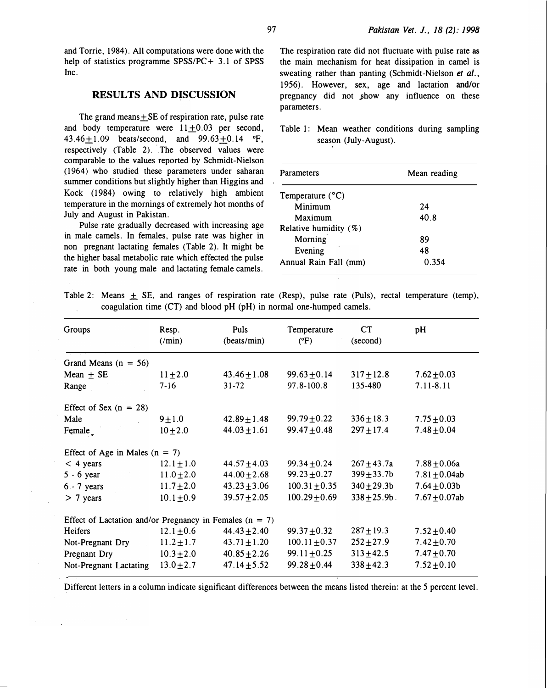and Torrie, 1984). All computations were done with the help of statistics programme  $SPSS/PC + 3.1$  of SPSS Inc.

#### .RESULTS AND DISCUSSION

The grand means  $+$  SE of respiration rate, pulse rate and body temperature were  $11+0.03$  per second, 43.46 + 1.09 beats/second, and  $99.63 + 0.14$  °F,  $respectively$  (Table 2). The observed values were comparable to the values reported by Schmidt-Nielson ( 1964) who studied these parameters under saharan summer conditions but slightly higher than Higgins and Kock (1984) owing to relatively high ambient temperature in the mornings of extremely hot months of July and August in Pakistan.

Pulse rate gradually decreased with increasing age in male camels. In females, pulse rate was higher in non pregnant lactating females (Table 2). It might be the higher basal metabolic rate which effected the pulse rate in both young male and lactating female camels.

The respiration rate did not fluctuate with pulse rate as the main mechanism for heat dissipation in camel is sweating rather than panting (Schmidt-Nielson et al., 1956). However, sex, age and lactation and/or pregnancy did not show any influence on these parameters.

Table 1: Mean weather conditions during sampling season (July-August).

| <b>Parameters</b>         | Mean reading |  |  |
|---------------------------|--------------|--|--|
| Temperature $(^{\circ}C)$ |              |  |  |
| Minimum                   | 24           |  |  |
| Maximum                   | 40.8         |  |  |
| Relative humidity (%)     |              |  |  |
| Morning                   | 89           |  |  |
| Evening                   | 48           |  |  |
| Annual Rain Fall (mm)     | 0.354        |  |  |

Table 2: Means  $\pm$  SE, and ranges of respiration rate (Resp), pulse rate (Puls), rectal temperature (temp), coagulation time (CT) and blood pH (pH) in normal one-humped camels.

| Groups                                                      | Resp.<br>$(\text{min})$ | Puls<br>(beats/min) | Temperature<br>$(^{\circ}F)$ | CT<br>(second)   | pH                 |  |  |
|-------------------------------------------------------------|-------------------------|---------------------|------------------------------|------------------|--------------------|--|--|
| Grand Means $(n = 56)$                                      |                         |                     |                              |                  |                    |  |  |
| Mean $\pm$ SE                                               | $11 \pm 2.0$            | $43.46 \pm 1.08$    | $99.63 \pm 0.14$             | $317 \pm 12.8$   | $7.62 \pm 0.03$    |  |  |
| Range                                                       | $7 - 16$                | $31 - 72$           | 97.8-100.8                   | 135-480          | 7.11-8.11          |  |  |
| Effect of Sex $(n = 28)$                                    |                         |                     |                              |                  |                    |  |  |
| Male                                                        | $9 + 1.0$               | $42.89 \pm 1.48$    | $99.79 \pm 0.22$             | $336 \pm 18.3$   | $7.75 \pm 0.03$    |  |  |
| Female                                                      | $10 + 2.0$              | $44.03 \pm 1.61$    | $99.47 \pm 0.48$             | $297 \pm 17.4$   | $7.48 \pm 0.04$    |  |  |
| Effect of Age in Males $(n = 7)$                            |                         |                     |                              |                  |                    |  |  |
| $<$ 4 years                                                 | $12.1 \pm 1.0$          | $44.57 \pm 4.03$    | $99.34 \pm 0.24$             | $267 + 43.7a$    | $7.88 + 0.06a$     |  |  |
| $5 - 6$ year                                                | $11.0 \pm 2.0$          | $44.00 \pm 2.68$    | $99.23 \pm 0.27$             | $399 \pm 33.7$ b | $7.81 \pm 0.04$ ab |  |  |
| $6 - 7$ years                                               | $11.7 \pm 2.0$          | $43.23 \pm 3.06$    | $100.31 + 0.35$              | $340 + 29.3b$    | $7.64 \pm 0.03b$   |  |  |
| $> 7$ years                                                 | $10.1 \pm 0.9$          | $39.57 + 2.05$      | $100.29 + 0.69$              | $338 + 25.9b$    | 7.67 $\pm$ 0.07ab  |  |  |
| Effect of Lactation and/or Pregnancy in Females ( $n = 7$ ) |                         |                     |                              |                  |                    |  |  |
| Heifers                                                     | $12.1 \pm 0.6$          | $44.43 \pm 2.40$    | $99.37 \pm 0.32$             | $287 \pm 19.3$   | $7.52 \pm 0.40$    |  |  |
| Not-Pregnant Dry                                            | $11.2 \pm 1.7$          | $43.71 \pm 1.20$    | $100.11 \pm 0.37$            | $252 + 27.9$     | $7.42 \pm 0.70$    |  |  |
| Pregnant Dry                                                | $10.3 \pm 2.0$          | $40.85 \pm 2.26$    | $99.11 \pm 0.25$             | $313 + 42.5$     | $7.47 \pm 0.70$    |  |  |
| Not-Pregnant Lactating                                      | $13.0 \pm 2.7$          | $47.14 \pm 5.52$    | $99.28 \pm 0.44$             | $338 + 42.3$     | $7.52 \pm 0.10$    |  |  |

Different letters in a column indicate significant differences between the means listed therein: at the 5 percent level.